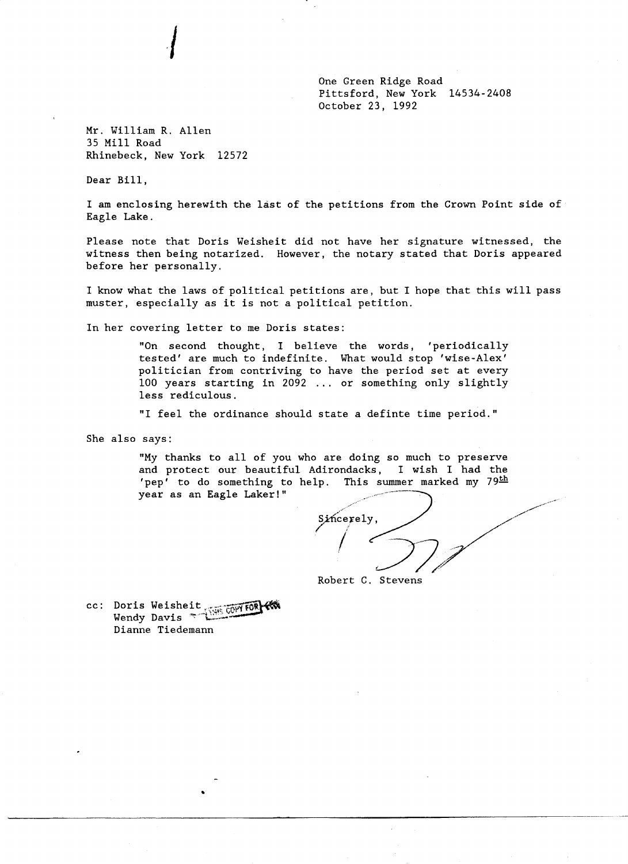One Green Ridge Road Pittsford, New York 14534-2408 October 23, 1992

Mr. William R. Allen 35 Mill Road Rhinebeck, New York 12572

*I* 

Dear Bill,

I am enclosing herewith the last of the petitions from the Crown Point side of Eagle Lake.

Please note that Doris Weisheit did not have her signature witnessed, the witness then being notarized. However, the notary stated that Doris appeared before her personally.

I know what the laws of political petitions are, but I hope that this will pass muster, especially as it is not a political petition.

In her covering letter to me Doris states:

"On second thought, I believe the words, 'periodically tested' are much to indefinite. What would stop 'wise-Alex' politician from contriving to have the period set at every 100 years starting in 2092 ... or something only slightly less redicu10us.

"I feel the ordinance should state a definte time period."

She also says:

"My thanks to all of you who are doing so much to preserve and protect our beautiful Adirondacks, I wish I had the 'pep' to do something to help. This summer marked my  $79<sup>th</sup>$ year as an Eagle Laker!"

Sincerely, Robert C. Stevens

cc: Doris Weisheit ...• -"·~fOl .. '\~';"-t:. ~~ ... --- Wendy Davis "': .. 1.:.:.;.::.... Dianne Tiedemann

•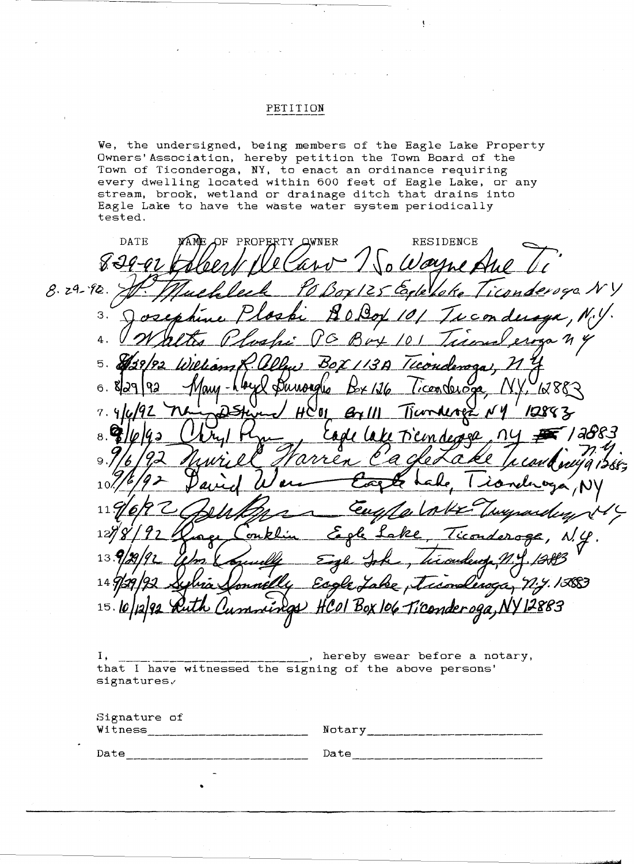## PETITION

We, the undersigned, being members of the Eagle Lake Property Owners'Association, hereby petition the Town Board of the Town of Ticonderoga, NY, to enact an ordinance requiring every dwelling located within 600 feet of Eagle Lake, or any stream, brook, wetland or drainage ditch that drains into Eagle Lake to have the waste water system periodically tested.

PROPERTY OWNER DATE OF RESIDENCE  $8.29 - 92.$ oga N 3. 4. 5. BoX Бильна 1x887  $6.$ そみ  $7.$ '61  $B\alpha$ । a&୧3 rel  $\mathbf{8}$ クん ₽  $1($  $1<sub>1</sub>$ 13 **'ASSI** nkI o co 15 Cender ogg

I, \_\_\_\_\_\_\_\_\_\_\_\_\_\_\_\_\_\_\_\_\_\_\_\_\_, hereby swear before a notary, that I have witnessed the signing of the above persons'  $signatures,$ 

| Signature of<br>Witness | Notary |
|-------------------------|--------|
| Date                    | Date   |
| -                       |        |

•